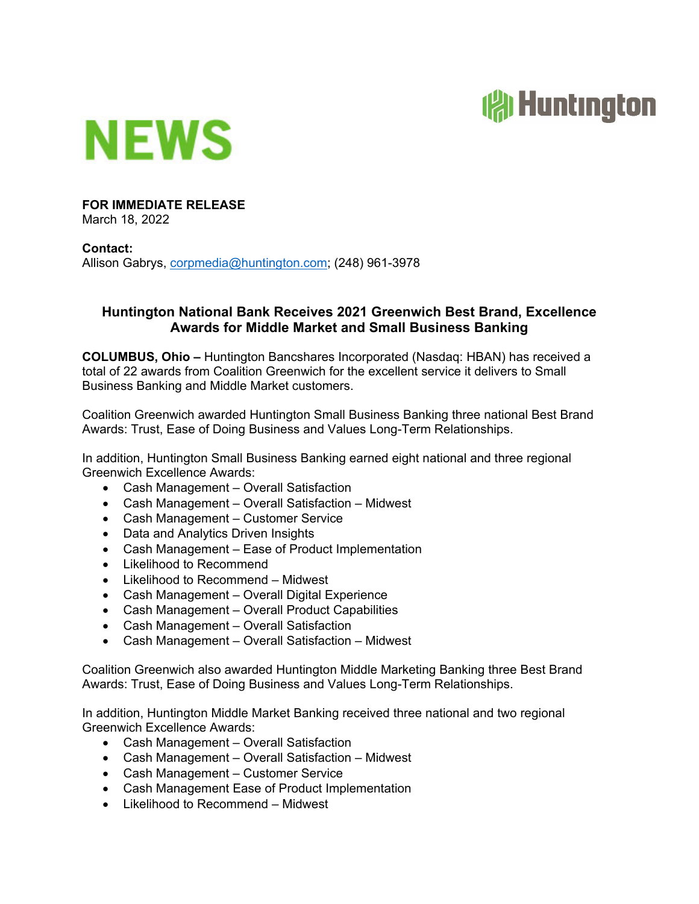



# **FOR IMMEDIATE RELEASE**

March 18, 2022

### **Contact:**

Allison Gabrys, corpmedia@huntington.com; (248) 961-3978

## **Huntington National Bank Receives 2021 Greenwich Best Brand, Excellence Awards for Middle Market and Small Business Banking**

**COLUMBUS, Ohio –** Huntington Bancshares Incorporated (Nasdaq: HBAN) has received a total of 22 awards from Coalition Greenwich for the excellent service it delivers to Small Business Banking and Middle Market customers.

Coalition Greenwich awarded Huntington Small Business Banking three national Best Brand Awards: Trust, Ease of Doing Business and Values Long-Term Relationships.

In addition, Huntington Small Business Banking earned eight national and three regional Greenwich Excellence Awards:

- Cash Management Overall Satisfaction
- Cash Management Overall Satisfaction Midwest
- Cash Management Customer Service
- Data and Analytics Driven Insights
- Cash Management Ease of Product Implementation
- Likelihood to Recommend
- Likelihood to Recommend Midwest
- Cash Management Overall Digital Experience
- Cash Management Overall Product Capabilities
- Cash Management Overall Satisfaction
- Cash Management Overall Satisfaction Midwest

Coalition Greenwich also awarded Huntington Middle Marketing Banking three Best Brand Awards: Trust, Ease of Doing Business and Values Long-Term Relationships.

In addition, Huntington Middle Market Banking received three national and two regional Greenwich Excellence Awards:

- Cash Management Overall Satisfaction
- Cash Management Overall Satisfaction Midwest
- Cash Management Customer Service
- Cash Management Ease of Product Implementation
- Likelihood to Recommend Midwest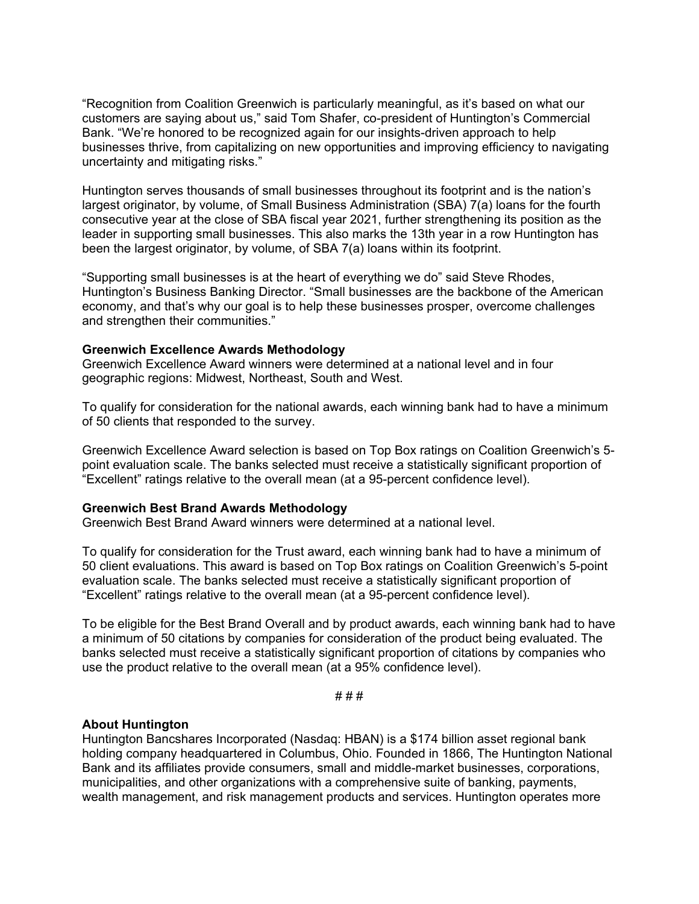"Recognition from Coalition Greenwich is particularly meaningful, as it's based on what our customers are saying about us," said Tom Shafer, co-president of Huntington's Commercial Bank. "We're honored to be recognized again for our insights-driven approach to help businesses thrive, from capitalizing on new opportunities and improving efficiency to navigating uncertainty and mitigating risks."

Huntington serves thousands of small businesses throughout its footprint and is the nation's largest originator, by volume, of Small Business Administration (SBA) 7(a) loans for the fourth consecutive year at the close of SBA fiscal year 2021, further strengthening its position as the leader in supporting small businesses. This also marks the 13th year in a row Huntington has been the largest originator, by volume, of SBA 7(a) loans within its footprint.

"Supporting small businesses is at the heart of everything we do" said Steve Rhodes, Huntington's Business Banking Director. "Small businesses are the backbone of the American economy, and that's why our goal is to help these businesses prosper, overcome challenges and strengthen their communities."

### **Greenwich Excellence Awards Methodology**

Greenwich Excellence Award winners were determined at a national level and in four geographic regions: Midwest, Northeast, South and West.

To qualify for consideration for the national awards, each winning bank had to have a minimum of 50 clients that responded to the survey.

Greenwich Excellence Award selection is based on Top Box ratings on Coalition Greenwich's 5 point evaluation scale. The banks selected must receive a statistically significant proportion of "Excellent" ratings relative to the overall mean (at a 95-percent confidence level).

### **Greenwich Best Brand Awards Methodology**

Greenwich Best Brand Award winners were determined at a national level.

To qualify for consideration for the Trust award, each winning bank had to have a minimum of 50 client evaluations. This award is based on Top Box ratings on Coalition Greenwich's 5-point evaluation scale. The banks selected must receive a statistically significant proportion of "Excellent" ratings relative to the overall mean (at a 95-percent confidence level).

To be eligible for the Best Brand Overall and by product awards, each winning bank had to have a minimum of 50 citations by companies for consideration of the product being evaluated. The banks selected must receive a statistically significant proportion of citations by companies who use the product relative to the overall mean (at a 95% confidence level).

# # #

### **About Huntington**

Huntington Bancshares Incorporated (Nasdaq: HBAN) is a \$174 billion asset regional bank holding company headquartered in Columbus, Ohio. Founded in 1866, The Huntington National Bank and its affiliates provide consumers, small and middle-market businesses, corporations, municipalities, and other organizations with a comprehensive suite of banking, payments, wealth management, and risk management products and services. Huntington operates more